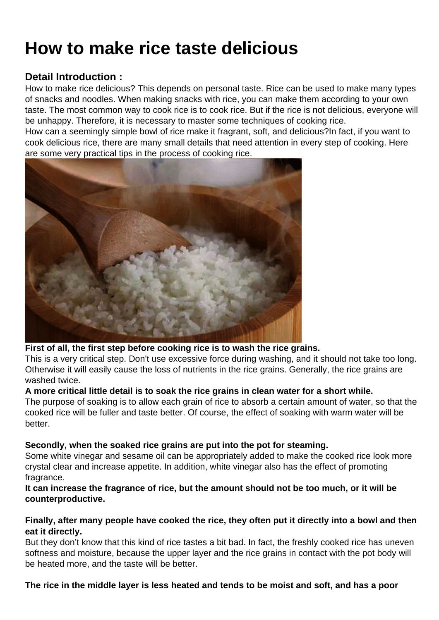## How to make rice taste delicious

Detail Introduction :

How to make rice delicious? This depends on personal taste. Rice can be used to make many types of snacks and noodles. When making snacks with rice, you can make them according to your own taste. The most common way to cook rice is to cook rice. But if the rice is not delicious, everyone will be unhappy. Therefore, it is necessary to master some techniques of cooking rice.

How can a seemingly simple bowl of rice make it fragrant, soft, and delicious?In fact, if you want to cook delicious rice, there are many small details that need attention in every step of cooking. Here are some very practical tips in the process of cooking rice.

First of all, the first step before cooking rice is to wash the rice grains.

This is a very critical step. Don't use excessive force during washing, and it should not take too long. Otherwise it will easily cause the loss of nutrients in the rice grains. Generally, the rice grains are washed twice.

A more critical little detail is to soak the rice grains in clean water for a short while.

The purpose of soaking is to allow each grain of rice to absorb a certain amount of water, so that the cooked rice will be fuller and taste better. Of course, the effect of soaking with warm water will be better.

Secondly, when the soaked rice grains are put into the pot for steaming.

Some white vinegar and sesame oil can be appropriately added to make the cooked rice look more crystal clear and increase appetite. In addition, white vinegar also has the effect of promoting fragrance.

It can increase the fragrance of rice, but the amount should not be too much, or it will be counterproductive.

Finally, after many people have cooked the rice, they often put it directly into a bowl and then eat it directly.

But they don't know that this kind of rice tastes a bit bad. In fact, the freshly cooked rice has uneven softness and moisture, because the upper layer and the rice grains in contact with the pot body will be heated more, and the taste will be better.

The rice in the middle layer is less heated and tends to be moist and soft, and has a poor